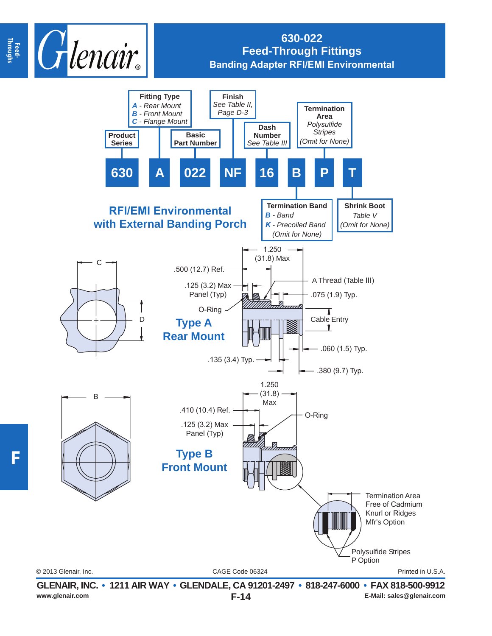

## **630-022 Feed-Through Fittings Banding Adapter RFI/EMI Environmental**



**www.glenair.com E-Mail: sales@glenair.com**